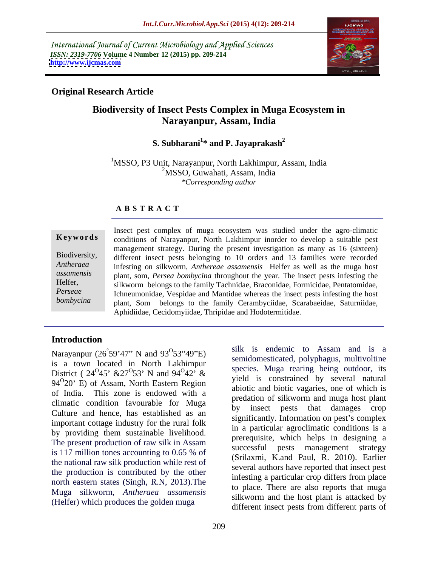International Journal of Current Microbiology and Applied Sciences *ISSN: 2319-7706* **Volume 4 Number 12 (2015) pp. 209-214 <http://www.ijcmas.com>**



### **Original Research Article**

## **Biodiversity of Insect Pests Complex in Muga Ecosystem in Narayanpur, Assam, India**

### **S. Subharani<sup>1</sup> \* and P. Jayaprakash<sup>2</sup>**

<sup>1</sup>MSSO, P3 Unit, Narayanpur, North Lakhimpur, Assam, India <sup>2</sup>MSSO, Guwahati, Assam, India *\*Corresponding author*

### **A B S T R A C T**

*bombycina*

Insect pest complex of muga ecosystem was studied under the agro-climatic **Keywords** conditions of Narayanpur, North Lakhimpur inorder to develop a suitable pest management strategy. During the present investigation as many as 16 (sixteen) different insect pests belonging to 10 orders and 13 families were recorded Biodiversity, infesting on silkworm, *Anthereae assamensis* Helfer as well as the muga host *Antheraea*  plant, som, *Persea bombycina* throughout the year. The insect pests infesting the *assamensis* Helfer, silkworm belongs to the family Tachnidae, Braconidae, Formicidae, Pentatomidae, Ichneumonidae, Vespidae and Mantidae whereas the insect pests infesting the host *Perseae*  plant, Som belongs to the family Cerambyciidae, Scarabaeidae, Saturniidae, Aphidiidae, Cecidomyiidae, Thripidae and Hodotermitidae.

### **Introduction**

is a town located in North Lakhimpur District (  $24^{0}45'$  &  $27^{0}53'$  N and  $94^{0}42'$  &  $94^{\circ}20'$  E) of Assam, North Eastern Region series and histia upgaring are of which is of India. This zone is endowed with a climatic condition favourable for Muga by Culture and hence, has established as an important cottage industry for the rural folk by providing them sustainable livelihood. The present production of raw silk in Assam is 117 million tones accounting to 0.65 % of the national raw silk production while rest of the production is contributed by the other north eastern states (Singh, R.N, 2013).The Muga silkworm, *Antheraea assamensis* (Helfer) which produces the golden muga

Narayanpur  $(26°59'47"$  N and  $93°53''49"$ E) silk is endemic to Assam and is a  $^{\circ}$ 59'47" N and 93<sup>0</sup>53"49"E) silk is endemic to Assam and is a  $53"49"E$  sink is endemiced Assaint and is a semidomesticated, polyphagus, multivoltine 45'  $\&27^{\circ}53'$  N and  $94^{\circ}42'$  & species. Muga rearing being outdoor, its 53' N and  $94^{\circ}42^{\circ}$  & species. Muga rearing being outdoor, its  $42' \&$  species. Muga realing being balabor, its silk is endemic to Assam and is a species. Muga rearing being outdoor, its yield is constrained by several natural abiotic and biotic vagaries, one of which is predation of silkworm and muga host plant insect pests that damages crop significantly. Information on pest's complex in a particular agroclimatic conditions is a prerequisite, which helps in designing a successful pests management strategy (Srilaxmi, K.and Paul, R. 2010). Earlier several authors have reported that insect pest infesting a particular crop differs from place to place. There are also reports that muga silkworm and the host plant is attacked by different insect pests from different parts of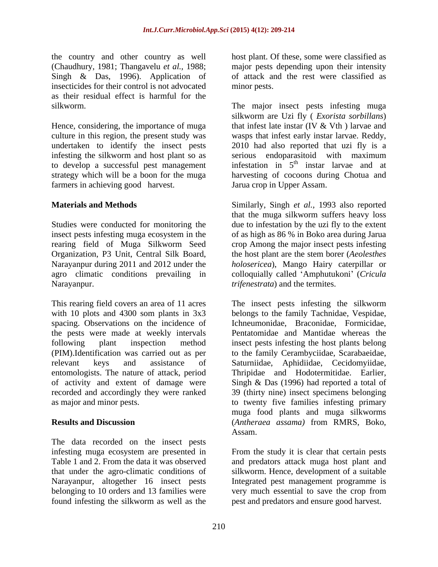the country and other country as well (Chaudhury, 1981; Thangavelu *et al.,* 1988; major pests depending upon their intensity Singh & Das, 1996). Application of insecticides for their control is not advocated as their residual effect is harmful for the

Hence, considering, the importance of muga to develop a successful pest management farmers in achieving good harvest.

This rearing field covers an area of 11 acres The insect pests infesting the silkworm with 10 plots and 4300 som plants in 3x3 belongs to the family Tachnidae, Vespidae, spacing. Observations on the incidence of Ichneumonidae, Braconidae, Formicidae, the pests were made at weekly intervals following plant inspection method insect pests infesting the host plants belong (PIM).Identification was carried out as per to the family Cerambyciidae, Scarabaeidae, relevant keys and assistance of Saturniidae, Aphidiidae, Cecidomyiidae, entomologists. The nature of attack, period Thripidae and Hodotermitidae. Earlier, of activity and extent of damage were Singh & Das (1996) had reported a total of recorded and accordingly they were ranked 39 (thirty nine) insect specimens belonging

The data recorded on the insect pests infesting muga ecosystem are presented in<br>Table 1 and 2. From the data it was observed Table 1 and 2. From the data it was observed and predators attack muga host plant and that under the agro-climatic conditions of silkworm. Hence, development of a suitable Narayanpur, altogether 16 insect pests belonging to 10 orders and 13 families were very much essential to save the crop from found infesting the silkworm as well as the

host plant. Of these, some were classified as of attack and the rest were classified as minor pests.

silkworm. The major insect pests infesting muga culture in this region, the present study was wasps that infest early instar larvae. Reddy, undertaken to identify the insect pests 2010 had also reported that uzi fly is a infesting the silkworm and host plant so as serious endoparasitoid with maximum strategy which will be a boon for the muga harvesting of cocoons during Chotua and silkworm are Uzi fly ( *Exorista sorbillans*) that infest late instar (IV & Vth ) larvae and infestation in  $5<sup>th</sup>$  instar larvae and at Jarua crop in Upper Assam.

**Materials and Methods** Similarly, Singh *et al.,* 1993 also reported Studies were conducted for monitoring the due to infestation by the uzi fly to the extent insect pests infesting muga ecosystem in the of as high as 86 % in Boko area during Jarua rearing field of Muga Silkworm Seed crop Among the major insect pests infesting Organization, P3 Unit, Central Silk Board, the host plant are the stem borer (*Aeolesthes*  Narayanpur during 2011 and 2012 under the *holosericea*), Mango Hairy caterpillar or agro climatic conditions prevailing in colloquially called 'Amphutukoni' (Cricula Narayanpur. *trifenestrata*) and the termites. that the muga silkworm suffers heavy loss

as major and minor pests. to twenty five families infesting primary **Results and Discussion**  (*Antheraea assama)* from RMRS, Boko, Pentatomidae and Mantidae whereas the muga food plants and muga silkworms Assam.

> From the study it is clear that certain pests Integrated pest management programme is pest and predators and ensure good harvest.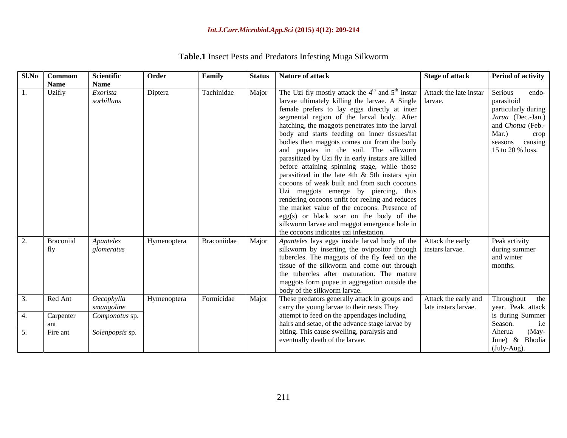### *Int.J.Curr.Microbiol.App.Sci* **(2015) 4(12): 209-214**

| Sl.No Commom     | <b>Scientific</b> | Order       | Family | <b>Status</b> | Nature of attack                                                                                                               | <b>Stage of attack</b> | <b>Period of activity</b> |
|------------------|-------------------|-------------|--------|---------------|--------------------------------------------------------------------------------------------------------------------------------|------------------------|---------------------------|
| <b>Name</b>      | <b>Name</b>       |             |        |               |                                                                                                                                |                        |                           |
| Uzifly           | Exorista          | Diptera     |        |               | Tachinidae Major The Uzi fly mostly attack the 4 <sup>th</sup> and 5 <sup>th</sup> instar Attack the late instar Serious endo- |                        |                           |
|                  | sorbillans        |             |        |               | larvae ultimately killing the larvae. A Single   larvae.                                                                       |                        | parasitoid                |
|                  |                   |             |        |               | female prefers to lay eggs directly at inter                                                                                   |                        | particularly during       |
|                  |                   |             |        |               | segmental region of the larval body. After                                                                                     |                        | Jarua (Dec.-Jan.)         |
|                  |                   |             |        |               | hatching, the maggots penetrates into the larval                                                                               |                        | and Chotua (Feb.-         |
|                  |                   |             |        |               | body and starts feeding on inner tissues/fat                                                                                   |                        | Mar.) crop                |
|                  |                   |             |        |               | bodies then maggots comes out from the body                                                                                    |                        | seasons causing           |
|                  |                   |             |        |               | and pupates in the soil. The silkworm                                                                                          |                        | 15 to 20 % loss.          |
|                  |                   |             |        |               | parasitized by Uzi fly in early instars are killed                                                                             |                        |                           |
|                  |                   |             |        |               | before attaining spinning stage, while those                                                                                   |                        |                           |
|                  |                   |             |        |               | parasitized in the late 4th $\&$ 5th instars spin                                                                              |                        |                           |
|                  |                   |             |        |               | cocoons of weak built and from such cocoons                                                                                    |                        |                           |
|                  |                   |             |        |               | Uzi maggots emerge by piercing, thus                                                                                           |                        |                           |
|                  |                   |             |        |               | rendering cocoons unfit for reeling and reduces                                                                                |                        |                           |
|                  |                   |             |        |               | the market value of the cocoons. Presence of                                                                                   |                        |                           |
|                  |                   |             |        |               | $egg(s)$ or black scar on the body of the                                                                                      |                        |                           |
|                  |                   |             |        |               | silkworm larvae and maggot emergence hole in                                                                                   |                        |                           |
|                  |                   |             |        |               | the cocoons indicates uzi infestation.                                                                                         |                        |                           |
| <b>Braconiid</b> | Apanteles         | Hymenoptera |        |               | Braconiidae   Major   Apanteles lays eggs inside larval body of the   Attack the early                                         |                        | Peak activity             |
|                  | glomeratus        |             |        |               | silkworm by inserting the ovipositor through instars larvae.                                                                   |                        | during summer             |
|                  |                   |             |        |               | tubercles. The maggots of the fly feed on the                                                                                  |                        | and winter                |
|                  |                   |             |        |               | tissue of the silkworm and come out through                                                                                    |                        | months.                   |
|                  |                   |             |        |               | the tubercles after maturation. The mature                                                                                     |                        |                           |
|                  |                   |             |        |               | maggots form pupae in aggregation outside the                                                                                  |                        |                           |
|                  |                   |             |        |               | body of the silkworm larvae.                                                                                                   |                        |                           |
| Red Ant          | Oecophylla        | Hymenoptera |        |               | Formicidae   Major   These predators generally attack in groups and   Attack the early and   Throughout the                    |                        |                           |
|                  | smangoline        |             |        |               | carry the young larvae to their nests They                                                                                     | late instars larvae.   | year. Peak attack         |
| Carpenter        | Componotus sp.    |             |        |               | attempt to feed on the appendages including                                                                                    |                        | is during Summer          |
|                  |                   |             |        |               | hairs and setae, of the advance stage larvae by                                                                                |                        | Season.                   |
| Fire ant         | Solenpopsis sp.   |             |        |               | biting. This cause swelling, paralysis and                                                                                     |                        | Aherua (May-              |
|                  |                   |             |        |               | eventually death of the larvae.                                                                                                |                        | June) & Bhodia            |
|                  |                   |             |        |               |                                                                                                                                |                        | (July-Aug).               |

# **Table.1** Insect Pests and Predators Infesting Muga Silkworm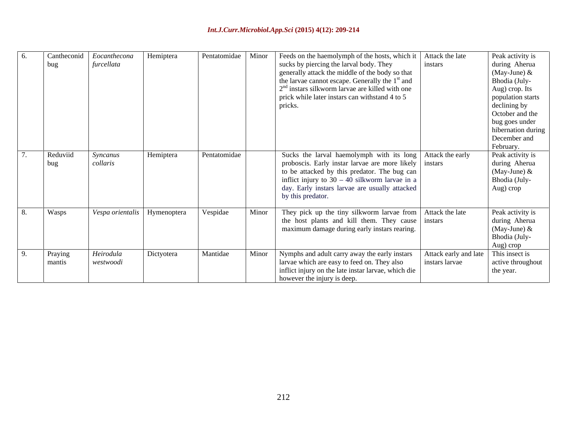### *Int.J.Curr.Microbiol.App.Sci* **(2015) 4(12): 209-214**

| Cantheconid       | <i>Eocanthecona</i>   Hemiptera |            | Pentatomidae   Minor |       | Feeds on the haemolymph of the hosts, which it   Attack the late                        | Peak activity is              |
|-------------------|---------------------------------|------------|----------------------|-------|-----------------------------------------------------------------------------------------|-------------------------------|
| bug               | furcellata                      |            |                      |       | sucks by piercing the larval body. They<br>instars                                      | during Aherua                 |
|                   |                                 |            |                      |       | generally attack the middle of the body so that                                         | (May-June) $&$                |
|                   |                                 |            |                      |       | the larvae cannot escape. Generally the 1 <sup>st</sup> and                             | Bhodia (July-                 |
|                   |                                 |            |                      |       | 2 <sup>nd</sup> instars silkworm larvae are killed with one                             | Aug) crop. Its                |
|                   |                                 |            |                      |       | prick while later instars can withstand 4 to 5                                          | population starts             |
|                   |                                 |            |                      |       | pricks.                                                                                 | declining by                  |
|                   |                                 |            |                      |       |                                                                                         | October and the               |
|                   |                                 |            |                      |       |                                                                                         | bug goes under                |
|                   |                                 |            |                      |       |                                                                                         | hibernation during            |
|                   |                                 |            |                      |       |                                                                                         | December and                  |
|                   |                                 |            |                      |       |                                                                                         | February.                     |
| Reduviid          | Syncanus                        | Hemiptera  | Pentatomidae         |       | Sucks the larval haemolymph with its long Attack the early                              | Peak activity is              |
| bug               | collaris                        |            |                      |       | proboscis. Early instar larvae are more likely instars                                  | during Aherua                 |
|                   |                                 |            |                      |       | to be attacked by this predator. The bug can                                            |                               |
|                   |                                 |            |                      |       | inflict injury to $30 - 40$ silkworm larvae in a                                        | (May-June) &<br>Bhodia (July- |
|                   |                                 |            |                      |       | day. Early instars larvae are usually attacked                                          | Aug) crop                     |
|                   |                                 |            |                      |       | by this predator.                                                                       |                               |
|                   |                                 |            |                      |       |                                                                                         |                               |
| Wasps             | Vespa orientalis   Hymenoptera  |            | Vespidae             | Minor | They pick up the tiny silkworm larvae from Attack the late                              | Peak activity is              |
|                   |                                 |            |                      |       | the host plants and kill them. They cause instars                                       | during Aherua                 |
|                   |                                 |            |                      |       | maximum damage during early instars rearing.                                            |                               |
|                   |                                 |            |                      |       |                                                                                         | (May-June) &<br>Bhodia (July- |
|                   |                                 |            |                      |       |                                                                                         | Aug) crop                     |
|                   | Heirodula                       | Dictyotera | Mantidae             | Minor | Nymphs and adult carry away the early instars<br>Attack early and late   This insect is |                               |
| Praying<br>mantis |                                 |            |                      |       | instars larvae                                                                          |                               |
|                   | westwoodi                       |            |                      |       | larvae which are easy to feed on. They also                                             | active throughout             |
|                   |                                 |            |                      |       | inflict injury on the late instar larvae, which die                                     | the year.                     |
|                   |                                 |            |                      |       | however the injury is deep.                                                             |                               |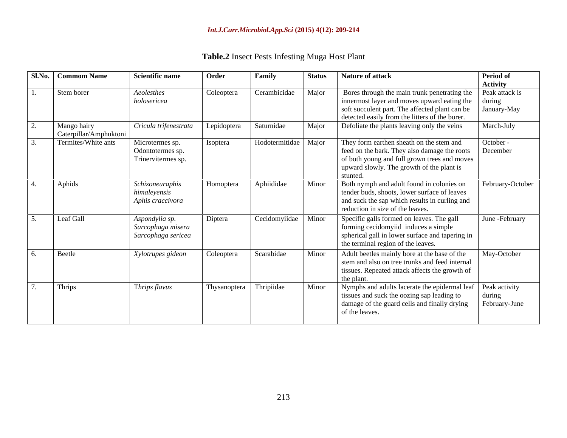| Sl.No.   Commom Name                  | <b>Scientific name</b>                                    | Order                   | Family                 | <b>Status</b> | <b>Nature of attack</b>                                                                                                                                                                                       | Period of<br><b>Activity</b>  |
|---------------------------------------|-----------------------------------------------------------|-------------------------|------------------------|---------------|---------------------------------------------------------------------------------------------------------------------------------------------------------------------------------------------------------------|-------------------------------|
| Stem borer                            | Aeolesthes<br>holosericea                                 | Coleoptera              | Cerambicidae           | Major         | Bores through the main trunk penetrating the<br>innermost layer and moves upward eating the $\int$ during<br>soft succulent part. The affected plant can be<br>detected easily from the litters of the borer. | Peak attack is<br>January-May |
| Mango hairy<br>Caterpillar/Amphuktoni | Cricula trifenestrata                                     | Lepidoptera             | Saturnidae             | Major         | Defoliate the plants leaving only the veins                                                                                                                                                                   | March-July                    |
| Termites/White ants                   | Microtermes sp.<br>Odontotermes sp.<br>Trinervitermes sp. | Isoptera                | Hodotermitidae   Major |               | They form earthen sheath on the stem and<br>feed on the bark. They also damage the roots<br>of both young and full grown trees and moves<br>upward slowly. The growth of the plant is<br>stunted              | October -<br>December         |
| Aphids                                | Schizoneuraphis<br>himaleyensis<br>Aphis craccivora       | Homoptera               | Aphiididae             | Minor         | Both nymph and adult found in colonies on<br>tender buds, shoots, lower surface of leaves<br>and suck the sap which results in curling and<br>reduction in size of the leaves.                                | February-October              |
| Leaf Gall                             | Aspondylia sp.<br>Sarcophaga misera<br>Sarcophaga sericea | Diptera                 | Cecidomyiidae   Minor  |               | Specific galls formed on leaves. The gall<br>forming cecidomyiid induces a simple<br>spherical gall in lower surface and tapering in<br>the terminal region of the leaves.                                    | June - February               |
| Beetle                                | Xylotrupes gideon                                         | Coleoptera              | Scarabidae             | Minor         | Adult beetles mainly bore at the base of the<br>stem and also on tree trunks and feed internal<br>tissues. Repeated attack affects the growth of<br>the plant                                                 | May-October                   |
| Thrips                                | Thrips flavus                                             | Thysanoptera Thripiidae |                        | Minor         | Nymphs and adults lacerate the epidermal leaf Peak activity                                                                                                                                                   |                               |

**Table.2** Insect Pests Infesting Muga Host Plant

tissues and suck the oozing sap leading to  $\vert$  during  $\vert$ damage of the guard cells and finally drying | February-June |

during and the set of the set of the set of the set of the set of the set of the set of the set of the set of the set of the set of the set of the set of the set of the set of the set of the set of the set of the set of th

of the leaves.

February-June